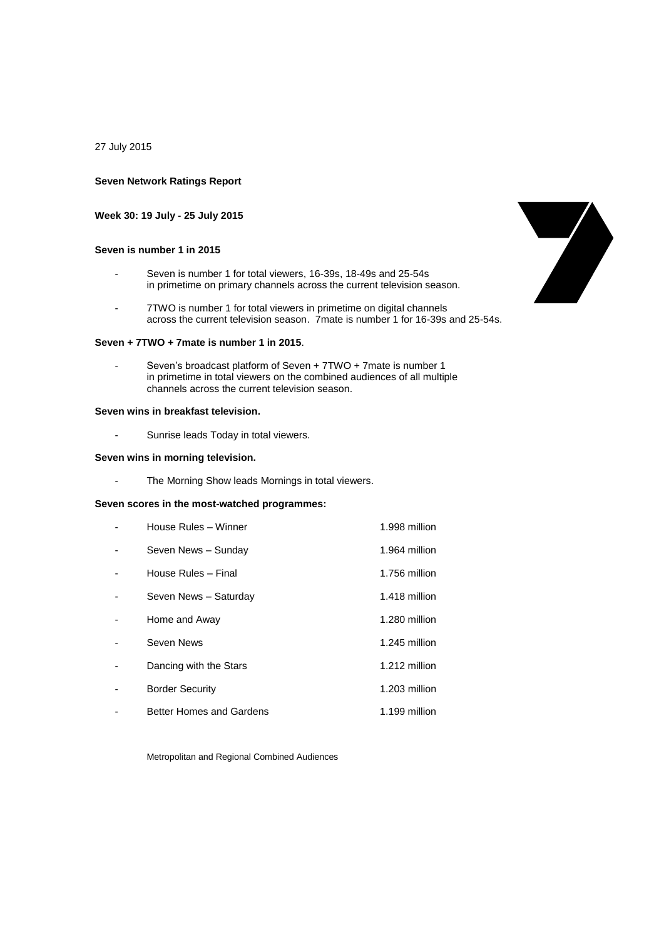27 July 2015

#### **Seven Network Ratings Report**

**Week 30: 19 July - 25 July 2015**

#### **Seven is number 1 in 2015**

- Seven is number 1 for total viewers, 16-39s, 18-49s and 25-54s in primetime on primary channels across the current television season.
- 7TWO is number 1 for total viewers in primetime on digital channels across the current television season. 7mate is number 1 for 16-39s and 25-54s.

#### **Seven + 7TWO + 7mate is number 1 in 2015**.

Seven's broadcast platform of Seven + 7TWO + 7mate is number 1 in primetime in total viewers on the combined audiences of all multiple channels across the current television season.

#### **Seven wins in breakfast television.**

- Sunrise leads Today in total viewers.

#### **Seven wins in morning television.**

- The Morning Show leads Mornings in total viewers.

## **Seven scores in the most-watched programmes:**

| House Rules - Winner            | 1.998 million |
|---------------------------------|---------------|
| Seven News - Sunday             | 1.964 million |
| House Rules - Final             | 1.756 million |
| Seven News - Saturday           | 1.418 million |
| Home and Away                   | 1.280 million |
| Seven News                      | 1.245 million |
| Dancing with the Stars          | 1.212 million |
| <b>Border Security</b>          | 1.203 million |
| <b>Better Homes and Gardens</b> | 1.199 million |

Metropolitan and Regional Combined Audiences

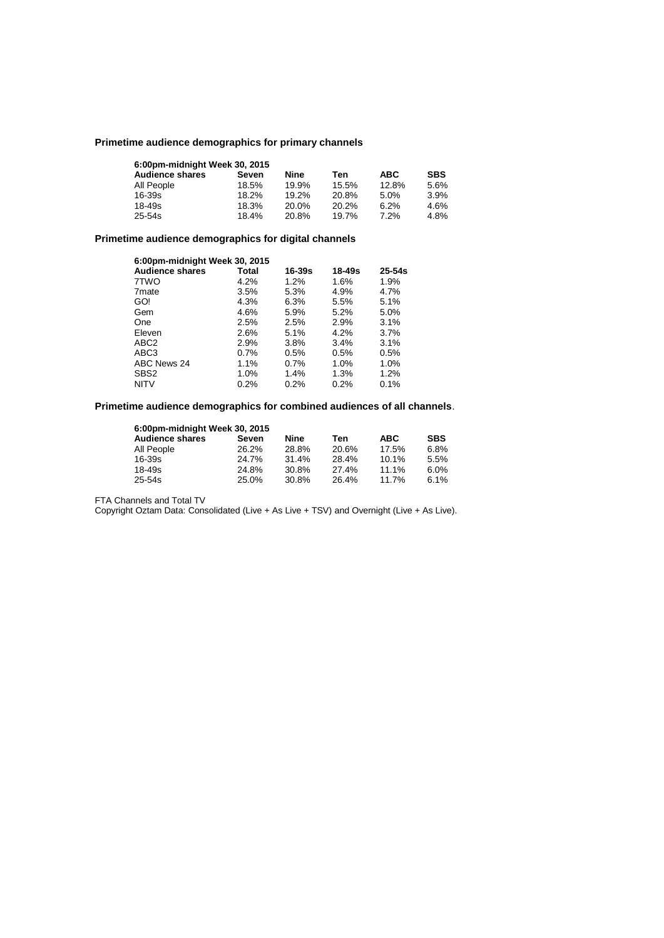# **Primetime audience demographics for primary channels**

| 6:00pm-midnight Week 30, 2015 |       |       |       |            |            |
|-------------------------------|-------|-------|-------|------------|------------|
| <b>Audience shares</b>        | Seven | Nine  | Ten   | <b>ABC</b> | <b>SBS</b> |
| All People                    | 18.5% | 19.9% | 15.5% | 12.8%      | 5.6%       |
| $16 - 39s$                    | 18.2% | 19.2% | 20.8% | 5.0%       | 3.9%       |
| 18-49s                        | 18.3% | 20.0% | 20.2% | 6.2%       | 4.6%       |
| 25-54s                        | 18.4% | 20.8% | 19.7% | 7.2%       | 4.8%       |

## **Primetime audience demographics for digital channels**

| 6:00pm-midnight Week 30, 2015 |       |        |            |            |  |
|-------------------------------|-------|--------|------------|------------|--|
| <b>Audience shares</b>        | Total | 16-39s | $18 - 49s$ | $25 - 54s$ |  |
| 7TWO                          | 4.2%  | 1.2%   | 1.6%       | 1.9%       |  |
| 7 <sub>mate</sub>             | 3.5%  | 5.3%   | 4.9%       | 4.7%       |  |
| GO!                           | 4.3%  | 6.3%   | 5.5%       | 5.1%       |  |
| Gem                           | 4.6%  | 5.9%   | 5.2%       | 5.0%       |  |
| One                           | 2.5%  | 2.5%   | 2.9%       | 3.1%       |  |
| Eleven                        | 2.6%  | 5.1%   | 4.2%       | $3.7\%$    |  |
| ABC <sub>2</sub>              | 2.9%  | 3.8%   | 3.4%       | 3.1%       |  |
| ABC <sub>3</sub>              | 0.7%  | 0.5%   | 0.5%       | 0.5%       |  |
| ABC News 24                   | 1.1%  | 0.7%   | 1.0%       | 1.0%       |  |
| SBS <sub>2</sub>              | 1.0%  | 1.4%   | 1.3%       | 1.2%       |  |
| <b>NITV</b>                   | 0.2%  | 0.2%   | 0.2%       | 0.1%       |  |

## **Primetime audience demographics for combined audiences of all channels**.

| 6:00pm-midnight Week 30, 2015 |       |       |       |            |            |
|-------------------------------|-------|-------|-------|------------|------------|
| <b>Audience shares</b>        | Seven | Nine  | Ten   | <b>ABC</b> | <b>SBS</b> |
| All People                    | 26.2% | 28.8% | 20.6% | 17.5%      | 6.8%       |
| 16-39s                        | 24.7% | 31.4% | 28.4% | 10.1%      | 5.5%       |
| 18-49s                        | 24.8% | 30.8% | 27.4% | 11.1%      | 6.0%       |
| 25-54s                        | 25.0% | 30.8% | 26.4% | 11.7%      | 6.1%       |

FTA Channels and Total TV

Copyright Oztam Data: Consolidated (Live + As Live + TSV) and Overnight (Live + As Live).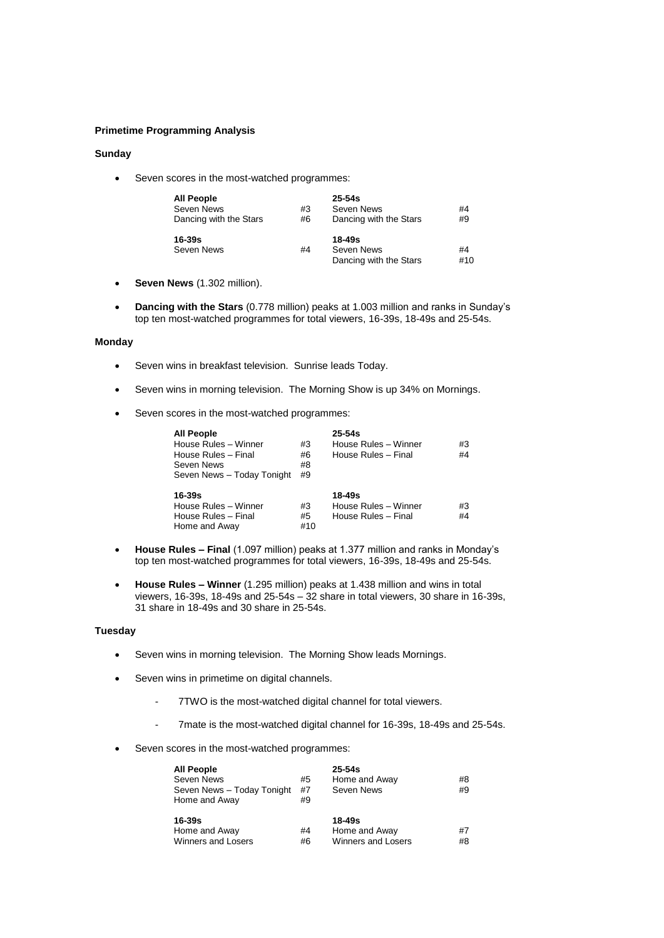#### **Primetime Programming Analysis**

### **Sunday**

• Seven scores in the most-watched programmes:

| <b>All People</b>      |    | $25-54s$               |    |
|------------------------|----|------------------------|----|
| Seven News             | #3 | Seven News             | #4 |
| Dancing with the Stars | #6 | Dancing with the Stars | #9 |
|                        |    |                        |    |
| 16-39s                 |    | $18 - 49s$             |    |
| Seven News             | #4 | Seven News             | #4 |

- **Seven News** (1.302 million).
- **Dancing with the Stars** (0.778 million) peaks at 1.003 million and ranks in Sunday's top ten most-watched programmes for total viewers, 16-39s, 18-49s and 25-54s.

## **Monday**

- Seven wins in breakfast television. Sunrise leads Today.
- Seven wins in morning television. The Morning Show is up 34% on Mornings.
- Seven scores in the most-watched programmes:

| <b>All People</b><br>House Rules - Winner<br>House Rules - Final<br>Seven News<br>Seven News - Today Tonight | #3<br>#6<br>#8<br>#9 | $25 - 54s$<br>House Rules - Winner<br>House Rules - Final | #3<br>#4 |
|--------------------------------------------------------------------------------------------------------------|----------------------|-----------------------------------------------------------|----------|
| 16-39s<br>House Rules - Winner<br>House Rules - Final<br>Home and Away                                       | #3<br>#5<br>#10      | 18-49s<br>House Rules - Winner<br>House Rules - Final     | #3<br>#4 |

- **House Rules – Final** (1.097 million) peaks at 1.377 million and ranks in Monday's top ten most-watched programmes for total viewers, 16-39s, 18-49s and 25-54s.
- **House Rules – Winner** (1.295 million) peaks at 1.438 million and wins in total viewers, 16-39s, 18-49s and 25-54s – 32 share in total viewers, 30 share in 16-39s, 31 share in 18-49s and 30 share in 25-54s.

#### **Tuesday**

- Seven wins in morning television. The Morning Show leads Mornings.
- Seven wins in primetime on digital channels.
	- 7TWO is the most-watched digital channel for total viewers.
	- 7mate is the most-watched digital channel for 16-39s, 18-49s and 25-54s.
- Seven scores in the most-watched programmes:

| <b>All People</b><br>Seven News<br>Seven News - Today Tonight<br>Home and Away | #5<br>#7<br>#9 | $25 - 54s$<br>Home and Away<br>Seven News                | #8<br>#9 |
|--------------------------------------------------------------------------------|----------------|----------------------------------------------------------|----------|
| $16 - 39s$<br>Home and Away<br><b>Winners and Losers</b>                       | #4<br>#6       | $18 - 49s$<br>Home and Away<br><b>Winners and Losers</b> | #7<br>#8 |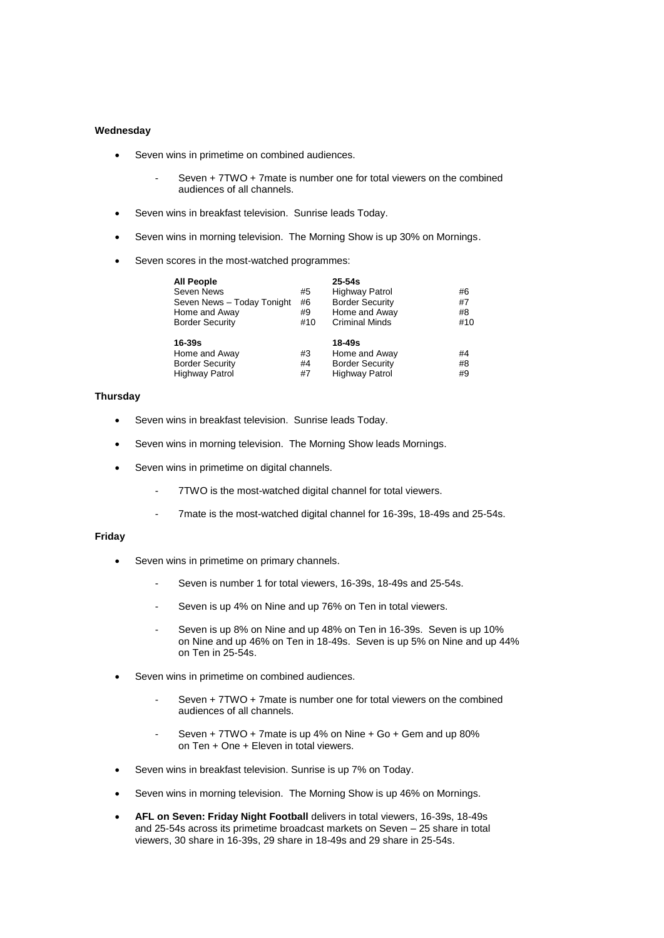#### **Wednesday**

- Seven wins in primetime on combined audiences.
	- Seven + 7TWO + 7mate is number one for total viewers on the combined audiences of all channels.
- Seven wins in breakfast television. Sunrise leads Today.
- Seven wins in morning television. The Morning Show is up 30% on Mornings.
- Seven scores in the most-watched programmes:

| All People                 |     | $25 - 54s$             |     |
|----------------------------|-----|------------------------|-----|
| Seven News                 | #5  | <b>Highway Patrol</b>  | #6  |
| Seven News - Today Tonight | #6  | <b>Border Security</b> | #7  |
| Home and Away              | #9  | Home and Away          | #8  |
| <b>Border Security</b>     | #10 | <b>Criminal Minds</b>  | #10 |
| 16-39s                     |     | 18-49s                 |     |
| Home and Away              | #3  | Home and Away          | #4  |
| <b>Border Security</b>     | #4  | <b>Border Security</b> | #8  |
| Highway Patrol             | #7  | <b>Highway Patrol</b>  | #9  |

## **Thursday**

- Seven wins in breakfast television. Sunrise leads Today.
- Seven wins in morning television. The Morning Show leads Mornings.
- Seven wins in primetime on digital channels.
	- 7TWO is the most-watched digital channel for total viewers.
	- 7mate is the most-watched digital channel for 16-39s, 18-49s and 25-54s.

### **Friday**

- Seven wins in primetime on primary channels.
	- Seven is number 1 for total viewers, 16-39s, 18-49s and 25-54s.
	- Seven is up 4% on Nine and up 76% on Ten in total viewers.
	- Seven is up 8% on Nine and up 48% on Ten in 16-39s. Seven is up 10% on Nine and up 46% on Ten in 18-49s. Seven is up 5% on Nine and up 44% on Ten in 25-54s.
- Seven wins in primetime on combined audiences.
	- Seven + 7TWO + 7mate is number one for total viewers on the combined audiences of all channels.
	- Seven + 7TWO + 7mate is up 4% on Nine + Go + Gem and up 80% on Ten + One + Eleven in total viewers.
- Seven wins in breakfast television. Sunrise is up 7% on Today.
- Seven wins in morning television. The Morning Show is up 46% on Mornings.
- **AFL on Seven: Friday Night Football** delivers in total viewers, 16-39s, 18-49s and 25-54s across its primetime broadcast markets on Seven – 25 share in total viewers, 30 share in 16-39s, 29 share in 18-49s and 29 share in 25-54s.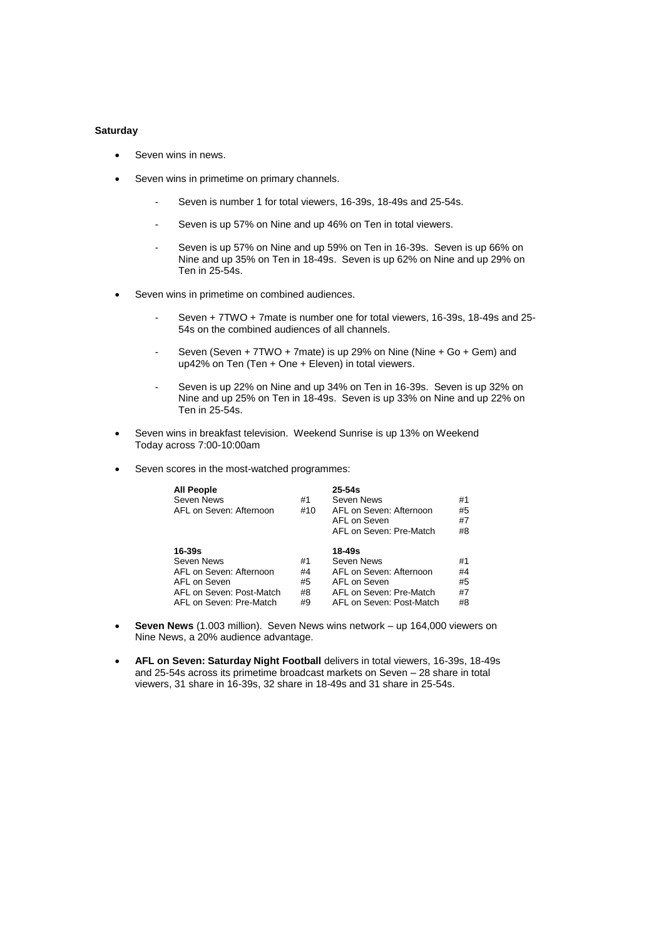#### **Saturday**

- Seven wins in news.
- Seven wins in primetime on primary channels.
	- Seven is number 1 for total viewers, 16-39s, 18-49s and 25-54s.
	- Seven is up 57% on Nine and up 46% on Ten in total viewers.
	- Seven is up 57% on Nine and up 59% on Ten in 16-39s. Seven is up 66% on Nine and up 35% on Ten in 18-49s. Seven is up 62% on Nine and up 29% on Ten in 25-54s.
- Seven wins in primetime on combined audiences.
	- Seven + 7TWO + 7mate is number one for total viewers, 16-39s, 18-49s and 25- 54s on the combined audiences of all channels.
	- Seven (Seven + 7TWO + 7mate) is up 29% on Nine (Nine + Go + Gem) and up42% on Ten (Ten + One + Eleven) in total viewers.
	- Seven is up 22% on Nine and up 34% on Ten in 16-39s. Seven is up 32% on Nine and up 25% on Ten in 18-49s. Seven is up 33% on Nine and up 22% on Ten in 25-54s.
- Seven wins in breakfast television. Weekend Sunrise is up 13% on Weekend Today across 7:00-10:00am
- Seven scores in the most-watched programmes:

| <b>All People</b><br>Seven News<br>AFL on Seven: Afternoon                                                                 | #1<br>#10                  | $25 - 54s$<br>Seven News<br>AFL on Seven: Afternoon<br>AFL on Seven<br>AFL on Seven: Pre-Match                         | #1<br>#5<br>#7<br>#8       |
|----------------------------------------------------------------------------------------------------------------------------|----------------------------|------------------------------------------------------------------------------------------------------------------------|----------------------------|
| $16 - 39s$<br>Seven News<br>AFL on Seven: Afternoon<br>AFL on Seven<br>AFL on Seven: Post-Match<br>AFL on Seven: Pre-Match | #1<br>#4<br>#5<br>#8<br>#9 | 18-49s<br>Seven News<br>AFL on Seven: Afternoon<br>AFL on Seven<br>AFL on Seven: Pre-Match<br>AFL on Seven: Post-Match | #1<br>#4<br>#5<br>#7<br>#8 |

- **Seven News** (1.003 million). Seven News wins network up 164,000 viewers on Nine News, a 20% audience advantage.
- **AFL on Seven: Saturday Night Football** delivers in total viewers, 16-39s, 18-49s and 25-54s across its primetime broadcast markets on Seven – 28 share in total viewers, 31 share in 16-39s, 32 share in 18-49s and 31 share in 25-54s.